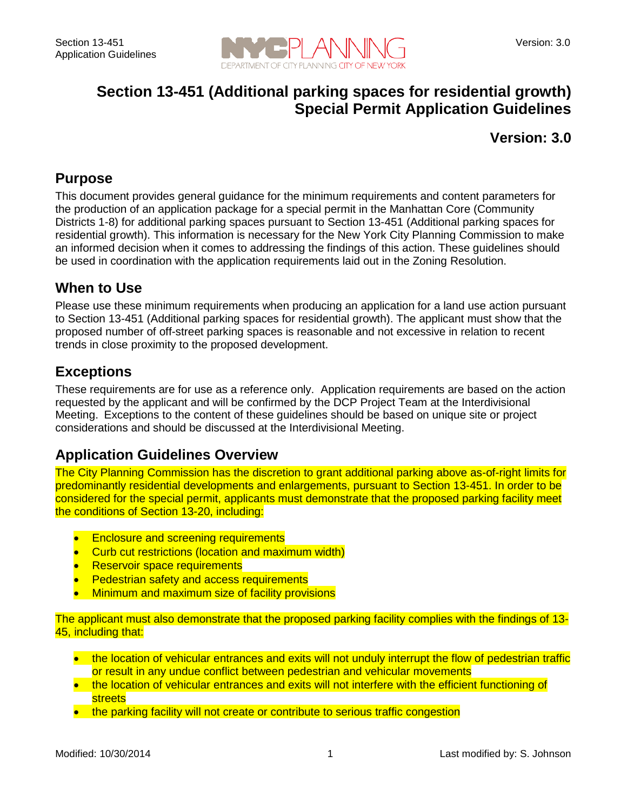

# **Section 13-451 (Additional parking spaces for residential growth) Special Permit Application Guidelines**

### **Version: 3.0**

### **Purpose**

This document provides general guidance for the minimum requirements and content parameters for the production of an application package for a special permit in the Manhattan Core (Community Districts 1-8) for additional parking spaces pursuant to Section 13-451 (Additional parking spaces for residential growth). This information is necessary for the New York City Planning Commission to make an informed decision when it comes to addressing the findings of this action. These guidelines should be used in coordination with the application requirements laid out in the Zoning Resolution.

### **When to Use**

Please use these minimum requirements when producing an application for a land use action pursuant to Section 13-451 (Additional parking spaces for residential growth). The applicant must show that the proposed number of off-street parking spaces is reasonable and not excessive in relation to recent trends in close proximity to the proposed development.

## **Exceptions**

These requirements are for use as a reference only. Application requirements are based on the action requested by the applicant and will be confirmed by the DCP Project Team at the Interdivisional Meeting. Exceptions to the content of these guidelines should be based on unique site or project considerations and should be discussed at the Interdivisional Meeting.

### **Application Guidelines Overview**

The City Planning Commission has the discretion to grant additional parking above as-of-right limits for predominantly residential developments and enlargements, pursuant to Section 13-451. In order to be considered for the special permit, applicants must demonstrate that the proposed parking facility meet the conditions of Section 13-20, including:

- Enclosure and screening requirements
- Curb cut restrictions (location and maximum width)
- **Reservoir space requirements**
- Pedestrian safety and access requirements
- Minimum and maximum size of facility provisions

The applicant must also demonstrate that the proposed parking facility complies with the findings of 13- 45, including that:

- the location of vehicular entrances and exits will not unduly interrupt the flow of pedestrian traffic or result in any undue conflict between pedestrian and vehicular movements
- the location of vehicular entrances and exits will not interfere with the efficient functioning of streets
- the parking facility will not create or contribute to serious traffic congestion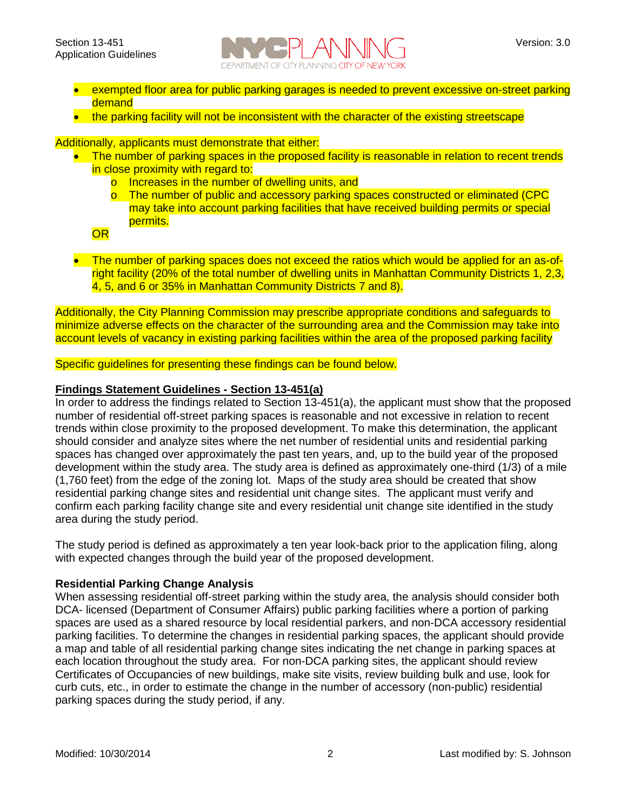

- exempted floor area for public parking garages is needed to prevent excessive on-street parking demand
- the parking facility will not be inconsistent with the character of the existing streetscape

Additionally, applicants must demonstrate that either:

- The number of parking spaces in the proposed facility is reasonable in relation to recent trends in close proximity with regard to:
	- o Increases in the number of dwelling units, and
	- o The number of public and accessory parking spaces constructed or eliminated (CPC may take into account parking facilities that have received building permits or special permits.

OR

• The number of parking spaces does not exceed the ratios which would be applied for an as-ofright facility (20% of the total number of dwelling units in Manhattan Community Districts 1, 2,3, 4, 5, and 6 or 35% in Manhattan Community Districts 7 and 8).

Additionally, the City Planning Commission may prescribe appropriate conditions and safeguards to minimize adverse effects on the character of the surrounding area and the Commission may take into account levels of vacancy in existing parking facilities within the area of the proposed parking facility

Specific guidelines for presenting these findings can be found below.

#### **Findings Statement Guidelines - Section 13-451(a)**

In order to address the findings related to Section 13-451(a), the applicant must show that the proposed number of residential off-street parking spaces is reasonable and not excessive in relation to recent trends within close proximity to the proposed development. To make this determination, the applicant should consider and analyze sites where the net number of residential units and residential parking spaces has changed over approximately the past ten years, and, up to the build year of the proposed development within the study area. The study area is defined as approximately one-third (1/3) of a mile (1,760 feet) from the edge of the zoning lot. Maps of the study area should be created that show residential parking change sites and residential unit change sites. The applicant must verify and confirm each parking facility change site and every residential unit change site identified in the study area during the study period.

The study period is defined as approximately a ten year look-back prior to the application filing, along with expected changes through the build year of the proposed development.

#### **Residential Parking Change Analysis**

When assessing residential off-street parking within the study area, the analysis should consider both DCA- licensed (Department of Consumer Affairs) public parking facilities where a portion of parking spaces are used as a shared resource by local residential parkers, and non-DCA accessory residential parking facilities. To determine the changes in residential parking spaces, the applicant should provide a map and table of all residential parking change sites indicating the net change in parking spaces at each location throughout the study area. For non-DCA parking sites, the applicant should review Certificates of Occupancies of new buildings, make site visits, review building bulk and use, look for curb cuts, etc., in order to estimate the change in the number of accessory (non-public) residential parking spaces during the study period, if any.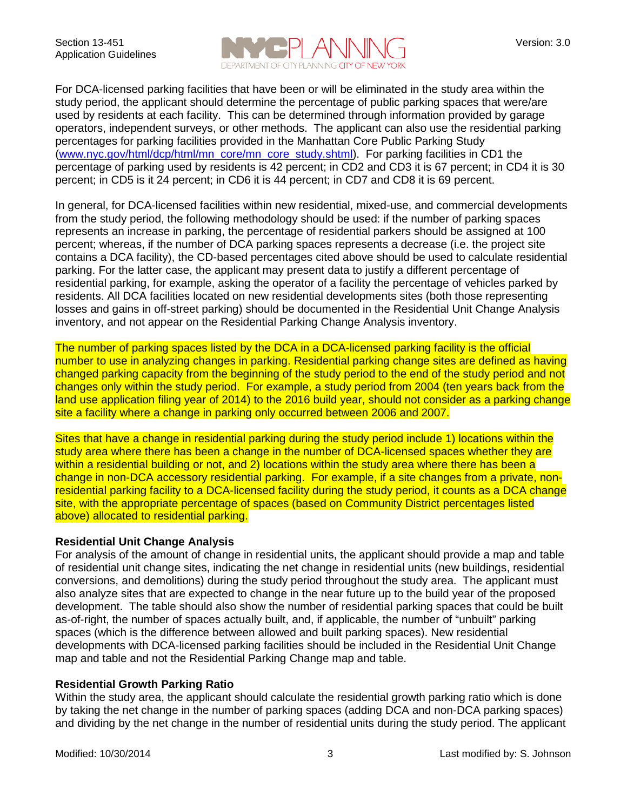

For DCA-licensed parking facilities that have been or will be eliminated in the study area within the study period, the applicant should determine the percentage of public parking spaces that were/are used by residents at each facility. This can be determined through information provided by garage operators, independent surveys, or other methods. The applicant can also use the residential parking percentages for parking facilities provided in the Manhattan Core Public Parking Study [\(www.nyc.gov/html/dcp/html/mn\\_core/mn\\_core\\_study.shtml\)](http://www.nyc.gov/html/dcp/html/mn_core/mn_core_study.shtml). For parking facilities in CD1 the percentage of parking used by residents is 42 percent; in CD2 and CD3 it is 67 percent; in CD4 it is 30 percent; in CD5 is it 24 percent; in CD6 it is 44 percent; in CD7 and CD8 it is 69 percent.

In general, for DCA-licensed facilities within new residential, mixed-use, and commercial developments from the study period, the following methodology should be used: if the number of parking spaces represents an increase in parking, the percentage of residential parkers should be assigned at 100 percent; whereas, if the number of DCA parking spaces represents a decrease (i.e. the project site contains a DCA facility), the CD-based percentages cited above should be used to calculate residential parking. For the latter case, the applicant may present data to justify a different percentage of residential parking, for example, asking the operator of a facility the percentage of vehicles parked by residents. All DCA facilities located on new residential developments sites (both those representing losses and gains in off-street parking) should be documented in the Residential Unit Change Analysis inventory, and not appear on the Residential Parking Change Analysis inventory.

The number of parking spaces listed by the DCA in a DCA-licensed parking facility is the official number to use in analyzing changes in parking. Residential parking change sites are defined as having changed parking capacity from the beginning of the study period to the end of the study period and not changes only within the study period. For example, a study period from 2004 (ten years back from the land use application filing year of 2014) to the 2016 build year, should not consider as a parking change site a facility where a change in parking only occurred between 2006 and 2007.

Sites that have a change in residential parking during the study period include 1) locations within the study area where there has been a change in the number of DCA-licensed spaces whether they are within a residential building or not, and 2) locations within the study area where there has been a change in non-DCA accessory residential parking. For example, if a site changes from a private, nonresidential parking facility to a DCA-licensed facility during the study period, it counts as a DCA change site, with the appropriate percentage of spaces (based on Community District percentages listed above) allocated to residential parking.

#### **Residential Unit Change Analysis**

For analysis of the amount of change in residential units, the applicant should provide a map and table of residential unit change sites, indicating the net change in residential units (new buildings, residential conversions, and demolitions) during the study period throughout the study area. The applicant must also analyze sites that are expected to change in the near future up to the build year of the proposed development. The table should also show the number of residential parking spaces that could be built as-of-right, the number of spaces actually built, and, if applicable, the number of "unbuilt" parking spaces (which is the difference between allowed and built parking spaces). New residential developments with DCA-licensed parking facilities should be included in the Residential Unit Change map and table and not the Residential Parking Change map and table.

#### **Residential Growth Parking Ratio**

Within the study area, the applicant should calculate the residential growth parking ratio which is done by taking the net change in the number of parking spaces (adding DCA and non-DCA parking spaces) and dividing by the net change in the number of residential units during the study period. The applicant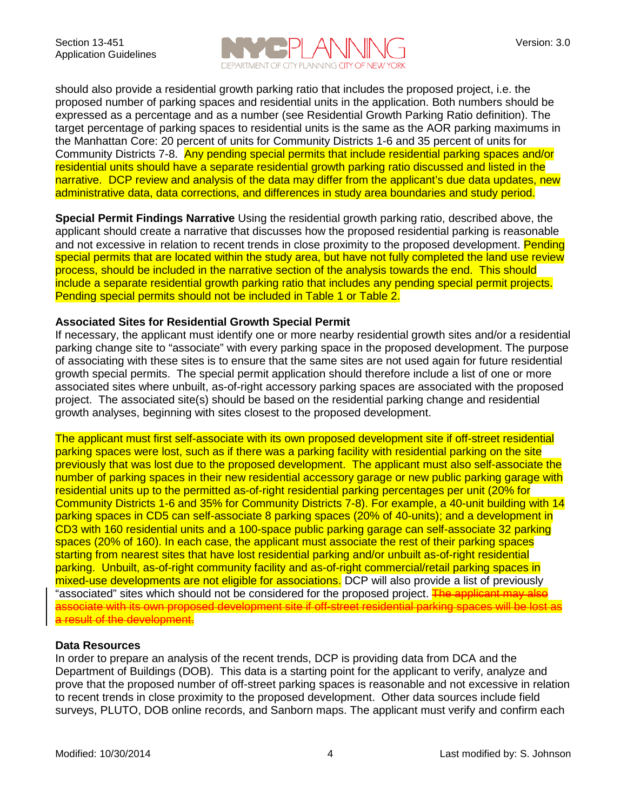

should also provide a residential growth parking ratio that includes the proposed project, i.e. the proposed number of parking spaces and residential units in the application. Both numbers should be expressed as a percentage and as a number (see Residential Growth Parking Ratio definition). The target percentage of parking spaces to residential units is the same as the AOR parking maximums in the Manhattan Core: 20 percent of units for Community Districts 1-6 and 35 percent of units for Community Districts 7-8. Any pending special permits that include residential parking spaces and/or residential units should have a separate residential growth parking ratio discussed and listed in the narrative. DCP review and analysis of the data may differ from the applicant's due data updates, new administrative data, data corrections, and differences in study area boundaries and study period.

**Special Permit Findings Narrative** Using the residential growth parking ratio, described above, the applicant should create a narrative that discusses how the proposed residential parking is reasonable and not excessive in relation to recent trends in close proximity to the proposed development. Pending special permits that are located within the study area, but have not fully completed the land use review process, should be included in the narrative section of the analysis towards the end. This should include a separate residential growth parking ratio that includes any pending special permit projects. Pending special permits should not be included in Table 1 or Table 2.

#### **Associated Sites for Residential Growth Special Permit**

If necessary, the applicant must identify one or more nearby residential growth sites and/or a residential parking change site to "associate" with every parking space in the proposed development. The purpose of associating with these sites is to ensure that the same sites are not used again for future residential growth special permits. The special permit application should therefore include a list of one or more associated sites where unbuilt, as-of-right accessory parking spaces are associated with the proposed project. The associated site(s) should be based on the residential parking change and residential growth analyses, beginning with sites closest to the proposed development.

The applicant must first self-associate with its own proposed development site if off-street residential parking spaces were lost, such as if there was a parking facility with residential parking on the site previously that was lost due to the proposed development. The applicant must also self-associate the number of parking spaces in their new residential accessory garage or new public parking garage with residential units up to the permitted as-of-right residential parking percentages per unit (20% for Community Districts 1-6 and 35% for Community Districts 7-8). For example, a 40-unit building with 14 parking spaces in CD5 can self-associate 8 parking spaces (20% of 40-units); and a development in CD3 with 160 residential units and a 100-space public parking garage can self-associate 32 parking spaces (20% of 160). In each case, the applicant must associate the rest of their parking spaces starting from nearest sites that have lost residential parking and/or unbuilt as-of-right residential parking. Unbuilt, as-of-right community facility and as-of-right commercial/retail parking spaces in mixed-use developments are not eligible for associations. DCP will also provide a list of previously "associated" sites which should not be considered for the proposed project. The applicant may also associate with its own proposed development site if off-street residential parking spaces will be lost as a result of the development.

#### **Data Resources**

In order to prepare an analysis of the recent trends, DCP is providing data from DCA and the Department of Buildings (DOB). This data is a starting point for the applicant to verify, analyze and prove that the proposed number of off-street parking spaces is reasonable and not excessive in relation to recent trends in close proximity to the proposed development. Other data sources include field surveys, PLUTO, DOB online records, and Sanborn maps. The applicant must verify and confirm each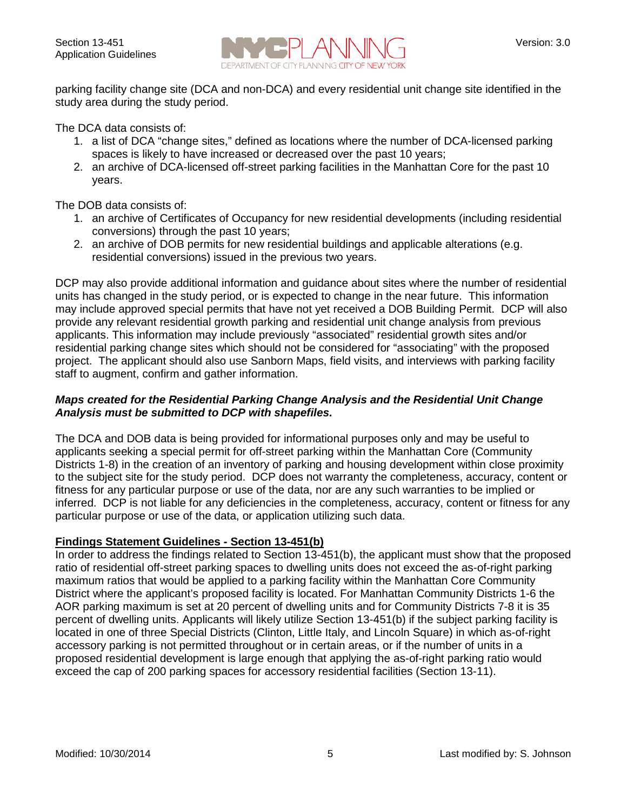

parking facility change site (DCA and non-DCA) and every residential unit change site identified in the study area during the study period.

The DCA data consists of:

- 1. a list of DCA "change sites," defined as locations where the number of DCA-licensed parking spaces is likely to have increased or decreased over the past 10 years;
- 2. an archive of DCA-licensed off-street parking facilities in the Manhattan Core for the past 10 years.

The DOB data consists of:

- 1. an archive of Certificates of Occupancy for new residential developments (including residential conversions) through the past 10 years;
- 2. an archive of DOB permits for new residential buildings and applicable alterations (e.g. residential conversions) issued in the previous two years.

DCP may also provide additional information and guidance about sites where the number of residential units has changed in the study period, or is expected to change in the near future. This information may include approved special permits that have not yet received a DOB Building Permit. DCP will also provide any relevant residential growth parking and residential unit change analysis from previous applicants. This information may include previously "associated" residential growth sites and/or residential parking change sites which should not be considered for "associating" with the proposed project. The applicant should also use Sanborn Maps, field visits, and interviews with parking facility staff to augment, confirm and gather information.

#### *Maps created for the Residential Parking Change Analysis and the Residential Unit Change Analysis must be submitted to DCP with shapefiles.*

The DCA and DOB data is being provided for informational purposes only and may be useful to applicants seeking a special permit for off-street parking within the Manhattan Core (Community Districts 1-8) in the creation of an inventory of parking and housing development within close proximity to the subject site for the study period. DCP does not warranty the completeness, accuracy, content or fitness for any particular purpose or use of the data, nor are any such warranties to be implied or inferred. DCP is not liable for any deficiencies in the completeness, accuracy, content or fitness for any particular purpose or use of the data, or application utilizing such data.

#### **Findings Statement Guidelines - Section 13-451(b)**

In order to address the findings related to Section 13-451(b), the applicant must show that the proposed ratio of residential off-street parking spaces to dwelling units does not exceed the as-of-right parking maximum ratios that would be applied to a parking facility within the Manhattan Core Community District where the applicant's proposed facility is located. For Manhattan Community Districts 1-6 the AOR parking maximum is set at 20 percent of dwelling units and for Community Districts 7-8 it is 35 percent of dwelling units. Applicants will likely utilize Section 13-451(b) if the subject parking facility is located in one of three Special Districts (Clinton, Little Italy, and Lincoln Square) in which as-of-right accessory parking is not permitted throughout or in certain areas, or if the number of units in a proposed residential development is large enough that applying the as-of-right parking ratio would exceed the cap of 200 parking spaces for accessory residential facilities (Section 13-11).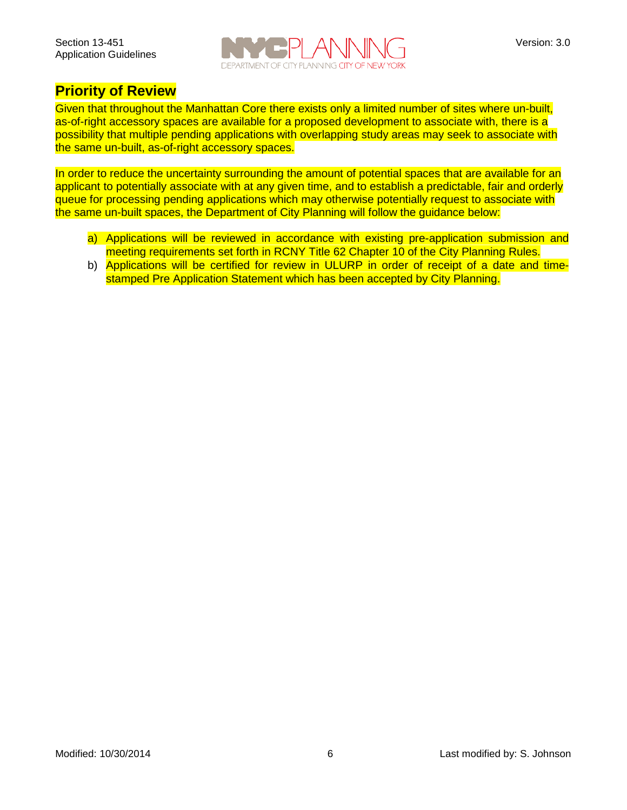

### **Priority of Review**

Given that throughout the Manhattan Core there exists only a limited number of sites where un-built, as-of-right accessory spaces are available for a proposed development to associate with, there is a possibility that multiple pending applications with overlapping study areas may seek to associate with the same un-built, as-of-right accessory spaces.

In order to reduce the uncertainty surrounding the amount of potential spaces that are available for an applicant to potentially associate with at any given time, and to establish a predictable, fair and orderly queue for processing pending applications which may otherwise potentially request to associate with the same un-built spaces, the Department of City Planning will follow the guidance below:

- a) Applications will be reviewed in accordance with existing pre-application submission and meeting requirements set forth in RCNY Title 62 Chapter 10 of the City Planning Rules.
- b) Applications will be certified for review in ULURP in order of receipt of a date and timestamped Pre Application Statement which has been accepted by City Planning.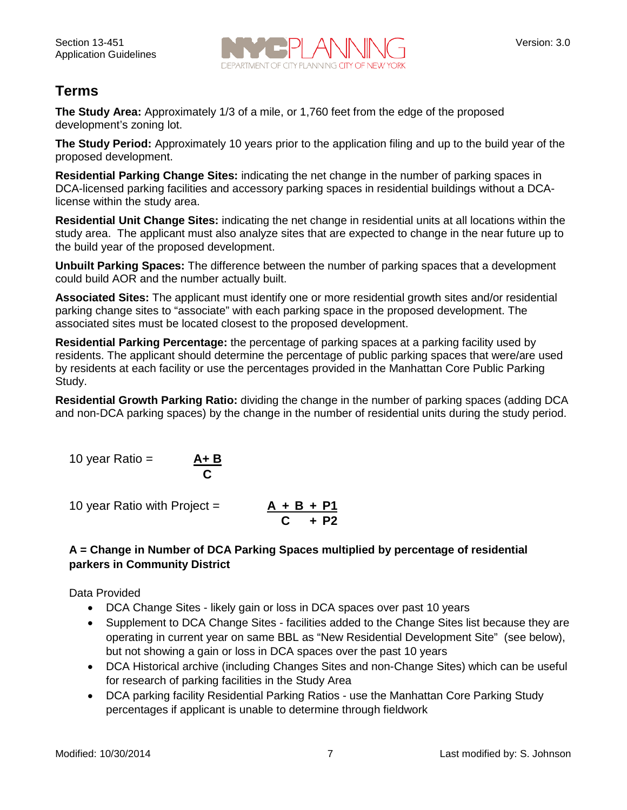

# **Terms**

**The Study Area:** Approximately 1/3 of a mile, or 1,760 feet from the edge of the proposed development's zoning lot.

**The Study Period:** Approximately 10 years prior to the application filing and up to the build year of the proposed development.

**Residential Parking Change Sites:** indicating the net change in the number of parking spaces in DCA-licensed parking facilities and accessory parking spaces in residential buildings without a DCAlicense within the study area.

**Residential Unit Change Sites:** indicating the net change in residential units at all locations within the study area. The applicant must also analyze sites that are expected to change in the near future up to the build year of the proposed development.

**Unbuilt Parking Spaces:** The difference between the number of parking spaces that a development could build AOR and the number actually built.

**Associated Sites:** The applicant must identify one or more residential growth sites and/or residential parking change sites to "associate" with each parking space in the proposed development. The associated sites must be located closest to the proposed development.

**Residential Parking Percentage:** the percentage of parking spaces at a parking facility used by residents. The applicant should determine the percentage of public parking spaces that were/are used by residents at each facility or use the percentages provided in the Manhattan Core Public Parking Study.

**Residential Growth Parking Ratio:** dividing the change in the number of parking spaces (adding DCA and non-DCA parking spaces) by the change in the number of residential units during the study period.

10 year Ratio = 
$$
\underline{A + B}
$$

**C**

10 year Ratio with Project  $=$ 

**C + P2**

### **A = Change in Number of DCA Parking Spaces multiplied by percentage of residential parkers in Community District**

Data Provided

- DCA Change Sites likely gain or loss in DCA spaces over past 10 years
- Supplement to DCA Change Sites facilities added to the Change Sites list because they are operating in current year on same BBL as "New Residential Development Site" (see below), but not showing a gain or loss in DCA spaces over the past 10 years
- DCA Historical archive (including Changes Sites and non-Change Sites) which can be useful for research of parking facilities in the Study Area
- DCA parking facility Residential Parking Ratios use the Manhattan Core Parking Study percentages if applicant is unable to determine through fieldwork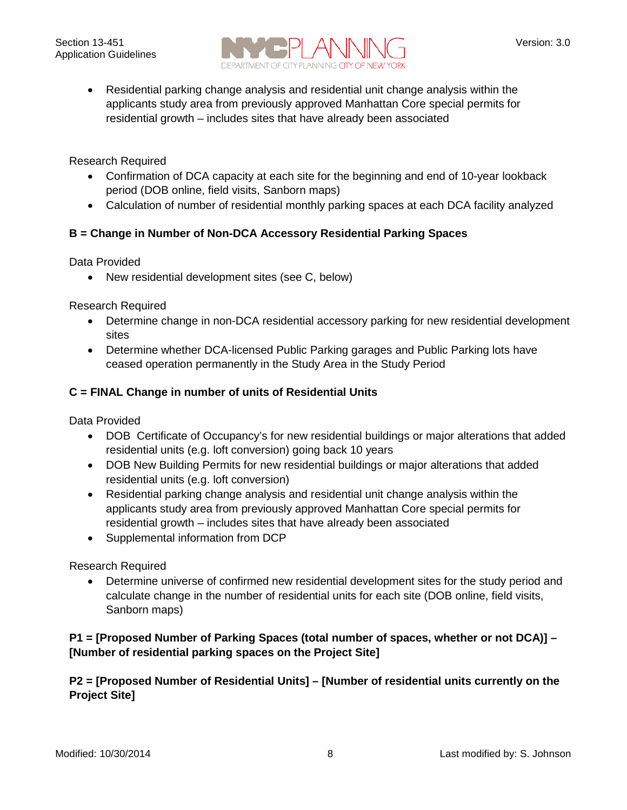

• Residential parking change analysis and residential unit change analysis within the applicants study area from previously approved Manhattan Core special permits for residential growth – includes sites that have already been associated

Research Required

- Confirmation of DCA capacity at each site for the beginning and end of 10-year lookback period (DOB online, field visits, Sanborn maps)
- Calculation of number of residential monthly parking spaces at each DCA facility analyzed

### **B = Change in Number of Non-DCA Accessory Residential Parking Spaces**

Data Provided

• New residential development sites (see C, below)

Research Required

- Determine change in non-DCA residential accessory parking for new residential development sites
- Determine whether DCA-licensed Public Parking garages and Public Parking lots have ceased operation permanently in the Study Area in the Study Period

#### **C = FINAL Change in number of units of Residential Units**

Data Provided

- DOB Certificate of Occupancy's for new residential buildings or major alterations that added residential units (e.g. loft conversion) going back 10 years
- DOB New Building Permits for new residential buildings or major alterations that added residential units (e.g. loft conversion)
- Residential parking change analysis and residential unit change analysis within the applicants study area from previously approved Manhattan Core special permits for residential growth – includes sites that have already been associated
- Supplemental information from DCP

Research Required

• Determine universe of confirmed new residential development sites for the study period and calculate change in the number of residential units for each site (DOB online, field visits, Sanborn maps)

### **P1 = [Proposed Number of Parking Spaces (total number of spaces, whether or not DCA)] – [Number of residential parking spaces on the Project Site]**

### **P2 = [Proposed Number of Residential Units] – [Number of residential units currently on the Project Site]**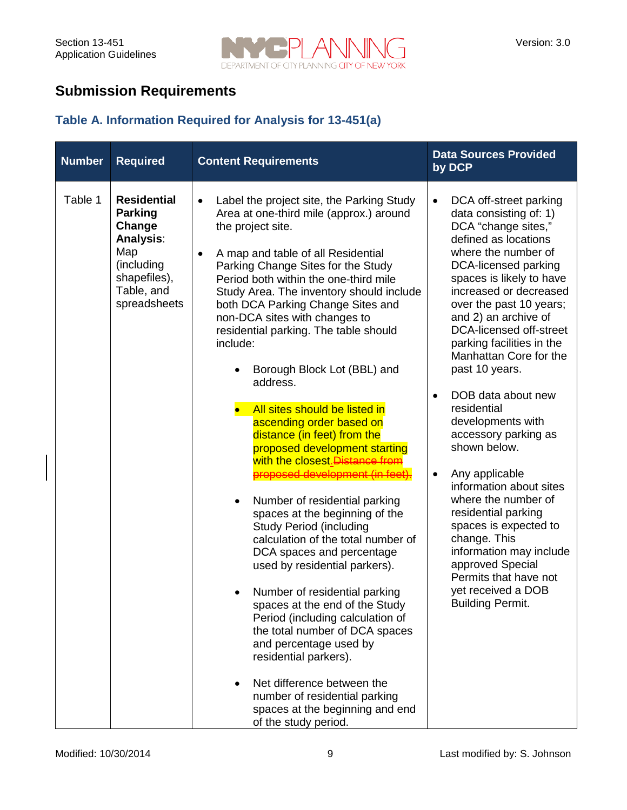

# **Submission Requirements**

## **Table A. Information Required for Analysis for 13-451(a)**

| <b>Number</b> | <b>Required</b>                                                                                                                       | <b>Content Requirements</b>                                                                                                                                                                                                                                                                                                                                                                                                                                                                                                                                                                                                                                                                                                                                                                                                                                                                                                                                                                                                                                                                                                                                                                                  | <b>Data Sources Provided</b><br>by DCP                                                                                                                                                                                                                                                                                                                                                                                                                                                                                                                                                                                                                                                                                                                            |
|---------------|---------------------------------------------------------------------------------------------------------------------------------------|--------------------------------------------------------------------------------------------------------------------------------------------------------------------------------------------------------------------------------------------------------------------------------------------------------------------------------------------------------------------------------------------------------------------------------------------------------------------------------------------------------------------------------------------------------------------------------------------------------------------------------------------------------------------------------------------------------------------------------------------------------------------------------------------------------------------------------------------------------------------------------------------------------------------------------------------------------------------------------------------------------------------------------------------------------------------------------------------------------------------------------------------------------------------------------------------------------------|-------------------------------------------------------------------------------------------------------------------------------------------------------------------------------------------------------------------------------------------------------------------------------------------------------------------------------------------------------------------------------------------------------------------------------------------------------------------------------------------------------------------------------------------------------------------------------------------------------------------------------------------------------------------------------------------------------------------------------------------------------------------|
| Table 1       | <b>Residential</b><br><b>Parking</b><br>Change<br><b>Analysis:</b><br>Map<br>(including<br>shapefiles),<br>Table, and<br>spreadsheets | Label the project site, the Parking Study<br>$\bullet$<br>Area at one-third mile (approx.) around<br>the project site.<br>A map and table of all Residential<br>Parking Change Sites for the Study<br>Period both within the one-third mile<br>Study Area. The inventory should include<br>both DCA Parking Change Sites and<br>non-DCA sites with changes to<br>residential parking. The table should<br>include:<br>Borough Block Lot (BBL) and<br>address.<br>All sites should be listed in<br>ascending order based on<br>distance (in feet) from the<br>proposed development starting<br>with the closest. Distance from<br>proposed development (in feet).<br>Number of residential parking<br>$\bullet$<br>spaces at the beginning of the<br><b>Study Period (including</b><br>calculation of the total number of<br>DCA spaces and percentage<br>used by residential parkers).<br>Number of residential parking<br>spaces at the end of the Study<br>Period (including calculation of<br>the total number of DCA spaces<br>and percentage used by<br>residential parkers).<br>Net difference between the<br>number of residential parking<br>spaces at the beginning and end<br>of the study period. | DCA off-street parking<br>$\bullet$<br>data consisting of: 1)<br>DCA "change sites,"<br>defined as locations<br>where the number of<br>DCA-licensed parking<br>spaces is likely to have<br>increased or decreased<br>over the past 10 years;<br>and 2) an archive of<br>DCA-licensed off-street<br>parking facilities in the<br>Manhattan Core for the<br>past 10 years.<br>DOB data about new<br>$\bullet$<br>residential<br>developments with<br>accessory parking as<br>shown below.<br>Any applicable<br>$\bullet$<br>information about sites<br>where the number of<br>residential parking<br>spaces is expected to<br>change. This<br>information may include<br>approved Special<br>Permits that have not<br>yet received a DOB<br><b>Building Permit.</b> |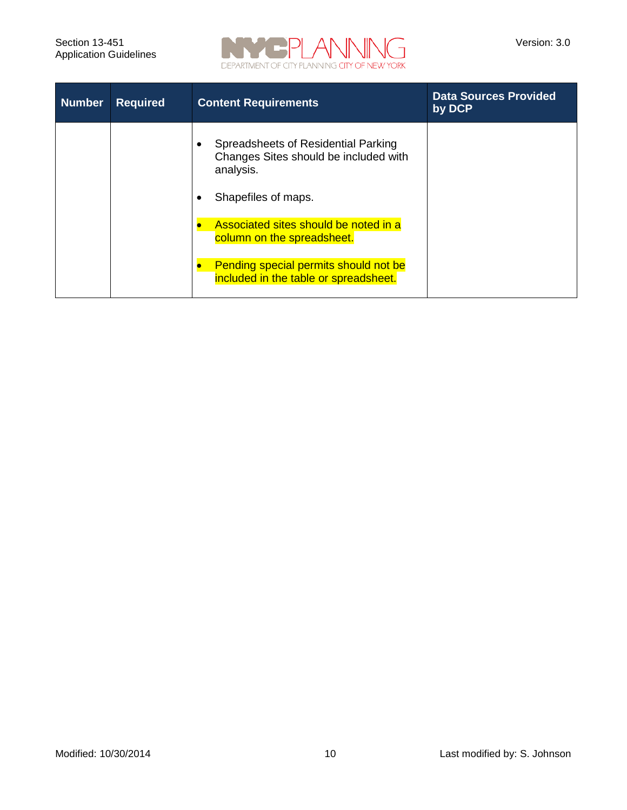

| <b>Number</b> | <b>Required</b> | <b>Content Requirements</b>                                                               | <b>Data Sources Provided</b><br>by DCP |
|---------------|-----------------|-------------------------------------------------------------------------------------------|----------------------------------------|
|               |                 | Spreadsheets of Residential Parking<br>Changes Sites should be included with<br>analysis. |                                        |
|               |                 | Shapefiles of maps.                                                                       |                                        |
|               |                 | Associated sites should be noted in a<br>column on the spreadsheet.                       |                                        |
|               |                 | Pending special permits should not be<br>included in the table or spreadsheet.            |                                        |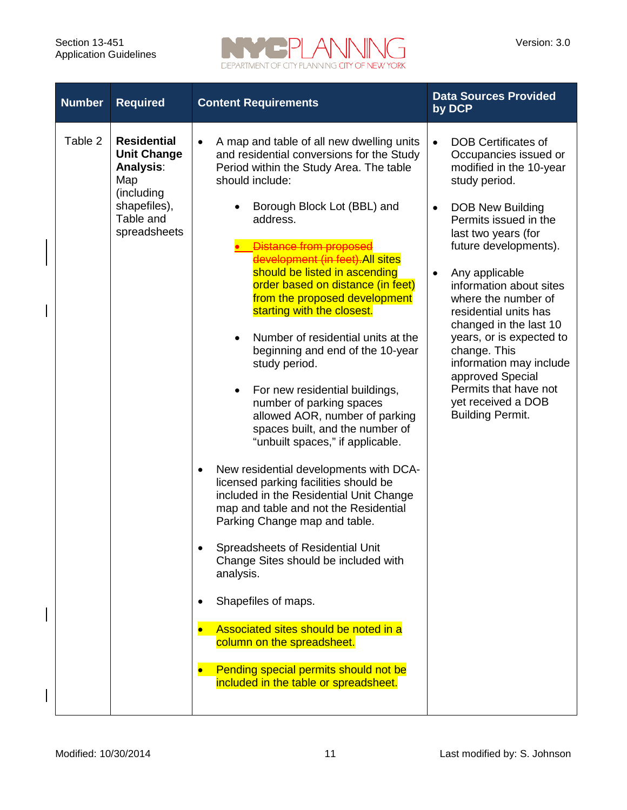$\overline{\phantom{a}}$ 

 $\overline{\phantom{a}}$ 



| <b>Number</b> | <b>Required</b>                                                                                                                | <b>Content Requirements</b>                                                                                                                                                                                                                                                                                                                                                                                                                                                                                                                                                                                                                                                                                                                                                                                                                                                                                                                                                                                                                                                                                                                                                                                    | <b>Data Sources Provided</b><br>by DCP                                                                                                                                                                                                                                                                                                                                                                                                                                                                       |
|---------------|--------------------------------------------------------------------------------------------------------------------------------|----------------------------------------------------------------------------------------------------------------------------------------------------------------------------------------------------------------------------------------------------------------------------------------------------------------------------------------------------------------------------------------------------------------------------------------------------------------------------------------------------------------------------------------------------------------------------------------------------------------------------------------------------------------------------------------------------------------------------------------------------------------------------------------------------------------------------------------------------------------------------------------------------------------------------------------------------------------------------------------------------------------------------------------------------------------------------------------------------------------------------------------------------------------------------------------------------------------|--------------------------------------------------------------------------------------------------------------------------------------------------------------------------------------------------------------------------------------------------------------------------------------------------------------------------------------------------------------------------------------------------------------------------------------------------------------------------------------------------------------|
| Table 2       | <b>Residential</b><br><b>Unit Change</b><br><b>Analysis:</b><br>Map<br>(including<br>shapefiles),<br>Table and<br>spreadsheets | A map and table of all new dwelling units<br>$\bullet$<br>and residential conversions for the Study<br>Period within the Study Area. The table<br>should include:<br>Borough Block Lot (BBL) and<br>address.<br>Distance from proposed<br>development (in feet). All sites<br>should be listed in ascending<br>order based on distance (in feet)<br>from the proposed development<br>starting with the closest.<br>Number of residential units at the<br>$\bullet$<br>beginning and end of the 10-year<br>study period.<br>For new residential buildings,<br>$\bullet$<br>number of parking spaces<br>allowed AOR, number of parking<br>spaces built, and the number of<br>"unbuilt spaces," if applicable.<br>New residential developments with DCA-<br>$\bullet$<br>licensed parking facilities should be<br>included in the Residential Unit Change<br>map and table and not the Residential<br>Parking Change map and table.<br>Spreadsheets of Residential Unit<br>Change Sites should be included with<br>analysis.<br>Shapefiles of maps.<br>٠<br>Associated sites should be noted in a<br>column on the spreadsheet.<br>Pending special permits should not be<br>included in the table or spreadsheet. | <b>DOB Certificates of</b><br>Occupancies issued or<br>modified in the 10-year<br>study period.<br><b>DOB New Building</b><br>Permits issued in the<br>last two years (for<br>future developments).<br>Any applicable<br>$\bullet$<br>information about sites<br>where the number of<br>residential units has<br>changed in the last 10<br>years, or is expected to<br>change. This<br>information may include<br>approved Special<br>Permits that have not<br>yet received a DOB<br><b>Building Permit.</b> |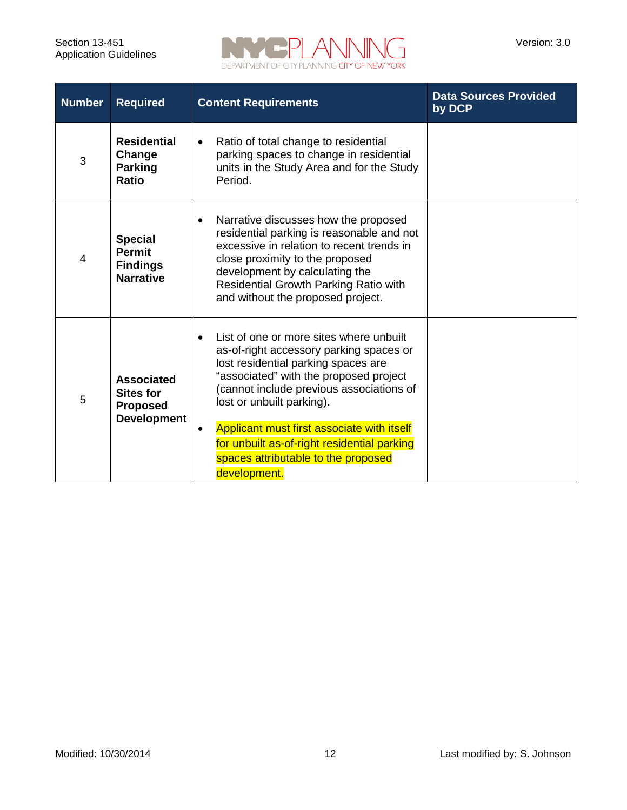

| <b>Number</b> | <b>Required</b>                                                                                                                                                                                                                                                                                                                                                                                                                                                                    | <b>Content Requirements</b>                                                                                                                                                                                                                                                       | <b>Data Sources Provided</b><br>by DCP |  |
|---------------|------------------------------------------------------------------------------------------------------------------------------------------------------------------------------------------------------------------------------------------------------------------------------------------------------------------------------------------------------------------------------------------------------------------------------------------------------------------------------------|-----------------------------------------------------------------------------------------------------------------------------------------------------------------------------------------------------------------------------------------------------------------------------------|----------------------------------------|--|
| 3             | <b>Residential</b><br>Change<br><b>Parking</b><br><b>Ratio</b>                                                                                                                                                                                                                                                                                                                                                                                                                     | Ratio of total change to residential<br>$\bullet$<br>parking spaces to change in residential<br>units in the Study Area and for the Study<br>Period.                                                                                                                              |                                        |  |
| 4             | <b>Special</b><br><b>Permit</b><br><b>Findings</b><br><b>Narrative</b>                                                                                                                                                                                                                                                                                                                                                                                                             | Narrative discusses how the proposed<br>residential parking is reasonable and not<br>excessive in relation to recent trends in<br>close proximity to the proposed<br>development by calculating the<br>Residential Growth Parking Ratio with<br>and without the proposed project. |                                        |  |
| 5             | List of one or more sites where unbuilt<br>as-of-right accessory parking spaces or<br>lost residential parking spaces are<br>"associated" with the proposed project<br><b>Associated</b><br>(cannot include previous associations of<br><b>Sites for</b><br>lost or unbuilt parking).<br><b>Proposed</b><br><b>Development</b><br>Applicant must first associate with itself<br>for unbuilt as-of-right residential parking<br>spaces attributable to the proposed<br>development. |                                                                                                                                                                                                                                                                                   |                                        |  |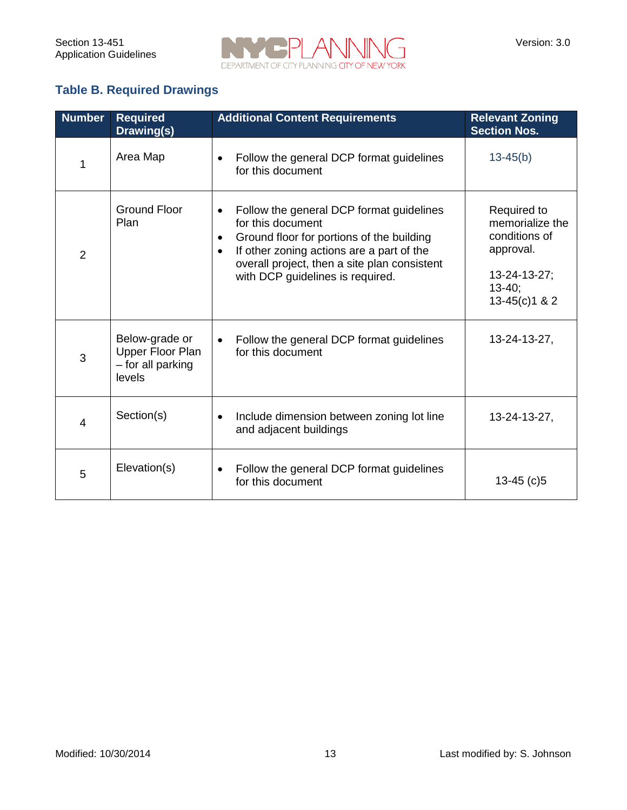

## **Table B. Required Drawings**

| <b>Number</b>  | <b>Required</b><br>Drawing(s)                                     | <b>Additional Content Requirements</b>                                                                                                                                                                                                                   | <b>Relevant Zoning</b><br><b>Section Nos.</b>                                                                |
|----------------|-------------------------------------------------------------------|----------------------------------------------------------------------------------------------------------------------------------------------------------------------------------------------------------------------------------------------------------|--------------------------------------------------------------------------------------------------------------|
| 1              | Area Map                                                          | Follow the general DCP format guidelines<br>for this document                                                                                                                                                                                            | $13-45(b)$                                                                                                   |
| $\overline{2}$ | <b>Ground Floor</b><br>Plan                                       | Follow the general DCP format guidelines<br>for this document<br>Ground floor for portions of the building<br>$\bullet$<br>If other zoning actions are a part of the<br>overall project, then a site plan consistent<br>with DCP guidelines is required. | Required to<br>memorialize the<br>conditions of<br>approval.<br>13-24-13-27;<br>$13 - 40$<br>$13-45(c)1 & 2$ |
| 3              | Below-grade or<br>Upper Floor Plan<br>- for all parking<br>levels | Follow the general DCP format guidelines<br>for this document                                                                                                                                                                                            | 13-24-13-27,                                                                                                 |
| 4              | Section(s)                                                        | Include dimension between zoning lot line<br>$\bullet$<br>and adjacent buildings                                                                                                                                                                         | 13-24-13-27,                                                                                                 |
| 5              | Elevation(s)                                                      | Follow the general DCP format guidelines<br>for this document                                                                                                                                                                                            | 13-45 $(c)$ 5                                                                                                |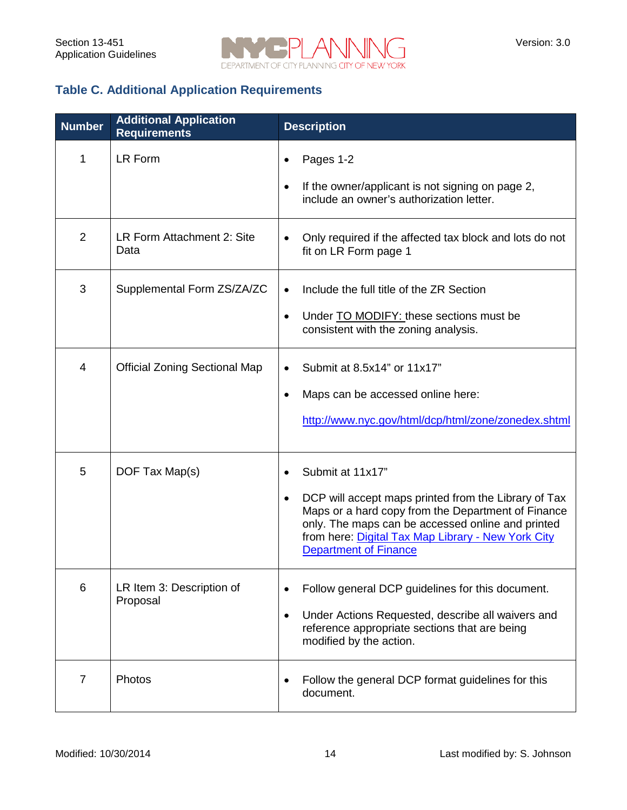

## **Table C. Additional Application Requirements**

| <b>Number</b>  | <b>Additional Application</b><br><b>Requirements</b> | <b>Description</b>                                                                                                                                                                                                                                                                     |
|----------------|------------------------------------------------------|----------------------------------------------------------------------------------------------------------------------------------------------------------------------------------------------------------------------------------------------------------------------------------------|
| 1              | LR Form                                              | Pages 1-2<br>If the owner/applicant is not signing on page 2,<br>include an owner's authorization letter.                                                                                                                                                                              |
| $\overline{2}$ | LR Form Attachment 2: Site<br>Data                   | Only required if the affected tax block and lots do not<br>fit on LR Form page 1                                                                                                                                                                                                       |
| 3              | Supplemental Form ZS/ZA/ZC                           | Include the full title of the ZR Section<br>Under TO MODIFY: these sections must be<br>$\bullet$<br>consistent with the zoning analysis.                                                                                                                                               |
| 4              | <b>Official Zoning Sectional Map</b>                 | Submit at 8.5x14" or 11x17"<br>Maps can be accessed online here:<br>$\bullet$<br>http://www.nyc.gov/html/dcp/html/zone/zonedex.shtml                                                                                                                                                   |
| 5              | DOF Tax Map(s)                                       | Submit at 11x17"<br>DCP will accept maps printed from the Library of Tax<br>$\bullet$<br>Maps or a hard copy from the Department of Finance<br>only. The maps can be accessed online and printed<br>from here: Digital Tax Map Library - New York City<br><b>Department of Finance</b> |
| 6              | LR Item 3: Description of<br>Proposal                | Follow general DCP guidelines for this document.<br>Under Actions Requested, describe all waivers and<br>$\bullet$<br>reference appropriate sections that are being<br>modified by the action.                                                                                         |
| 7              | Photos                                               | Follow the general DCP format guidelines for this<br>document.                                                                                                                                                                                                                         |